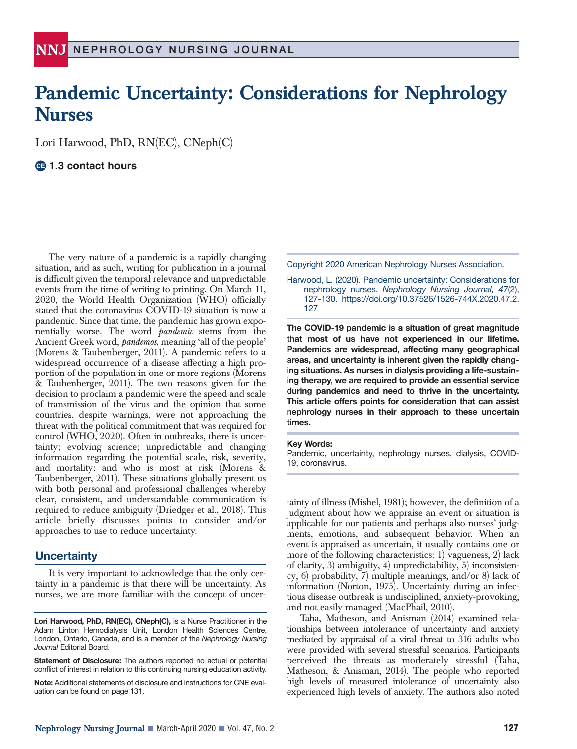# **Pandemic Uncertainty: Considerations for Nephrology Nurses**

Lori Harwood, PhD, RN(EC), CNeph(C)

# **1.3 contact hours**

The very nature of a pandemic is a rapidly changing situation, and as such, writing for publication in a journal is difficult given the temporal relevance and unpredictable events from the time of writing to printing. On March 11, 2020, the World Health Organization (WHO) officially stated that the coronavirus COVID-19 situation is now a pandemic. Since that time, the pandemic has grown exponentially worse. The word *pandemic* stems from the Ancient Greek word, *pandemos*, meaning 'all of the people' (Morens & Taubenberger, 2011). A pandemic refers to a widespread occurrence of a disease affecting a high proportion of the population in one or more regions (Morens & Taubenberger, 2011). The two reasons given for the decision to proclaim a pandemic were the speed and scale of transmission of the virus and the opinion that some countries, despite warnings, were not approaching the threat with the political commitment that was required for control (WHO, 2020). Often in outbreaks, there is uncertainty; evolving science; unpredictable and changing information regarding the potential scale, risk, severity, and mortality; and who is most at risk (Morens & Taubenberger, 2011). These situations globally present us with both personal and professional challenges whereby clear, consistent, and understandable communication is required to reduce ambiguity (Driedger et al., 2018). This article briefly discusses points to consider and/or approaches to use to reduce uncertainty.

# **Uncertainty**

It is very important to acknowledge that the only certainty in a pandemic is that there will be uncertainty. As nurses, we are more familiar with the concept of uncer-

**Lori Harwood, PhD, RN(EC), CNeph(C),** is a Nurse Practitioner in the Adam Linton Hemodialysis Unit, London Health Sciences Centre, London, Ontario, Canada, and is a member of the *Nephrology Nursing Journal* Editorial Board.

**Statement of Disclosure:** The authors reported no actual or potential conflict of interest in relation to this continuing nursing education activity.

**Note:** Additional statements of disclosure and instructions for CNE evaluation can be found on page 131.

Copyright 2020 American Nephrology Nurses Association.

Harwood, L. (2020). Pandemic uncertainty: Considerations for nephrology nurses. *Nephrology Nursing Journal, 47*(2), 127-130. https://doi.org/10.37526/1526-744X.2020.47.2. 127

**The COVID-19 pandemic is a situation of great magnitude that most of us have not experienced in our lifetime. Pandemics are widespread, affecting many geographical areas, and uncertainty is inherent given the rapidly changing situations. As nurses in dialysis providing a life-sustaining therapy, we are required to provide an essential service during pandemics and need to thrive in the uncertainty. This article offers points for consideration that can assist nephrology nurses in their approach to these uncertain times.**

#### **Key Words:**

Pandemic, uncertainty, nephrology nurses, dialysis, COVID-19, coronavirus.

tainty of illness (Mishel, 1981); however, the definition of a judgment about how we appraise an event or situation is applicable for our patients and perhaps also nurses' judgments, emotions, and subsequent behavior. When an event is appraised as uncertain, it usually contains one or more of the following characteristics: 1) vagueness, 2) lack of clarity, 3) ambiguity, 4) unpredictability, 5) inconsistency, 6) probability, 7) multiple meanings, and/or 8) lack of information (Norton, 1975). Uncertainty during an infectious disease outbreak is undisciplined, anxiety-provoking, and not easily managed (MacPhail, 2010).

Taha, Matheson, and Anisman (2014) examined relationships between intolerance of uncertainty and anxiety mediated by appraisal of a viral threat to 316 adults who were provided with several stressful scenarios. Participants perceived the threats as moderately stressful (Taha, Matheson, & Anisman, 2014). The people who reported high levels of measured intolerance of uncertainty also experienced high levels of anxiety. The authors also noted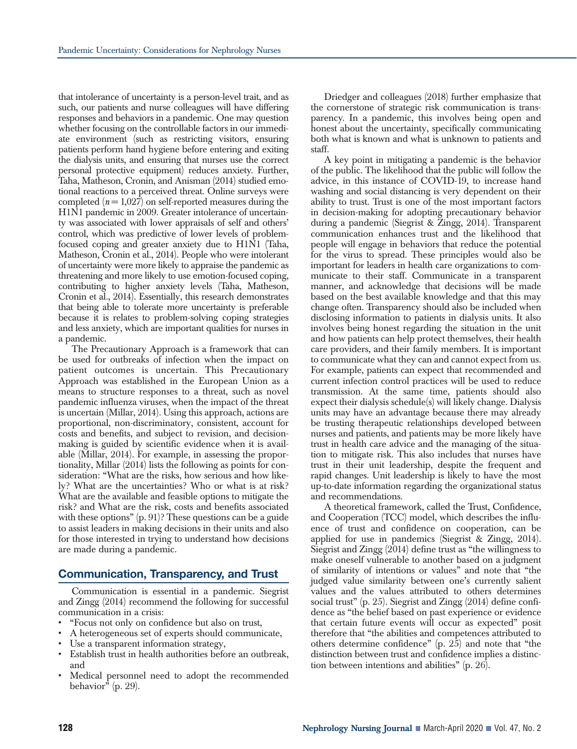that intolerance of uncertainty is a person-level trait, and as such, our patients and nurse colleagues will have differing responses and behaviors in a pandemic. One may question whether focusing on the controllable factors in our immediate environment (such as restricting visitors, ensuring patients perform hand hygiene before entering and exiting the dialysis units, and ensuring that nurses use the correct personal protective equipment) reduces anxiety. Further, Taha, Matheson, Cronin, and Anisman (2014) studied emotional reactions to a perceived threat. Online surveys were completed  $(n=1,027)$  on self-reported measures during the H1N1 pandemic in 2009. Greater intolerance of uncertainty was associated with lower appraisals of self and others' control, which was predictive of lower levels of problemfocused coping and greater anxiety due to H1N1 (Taha, Matheson, Cronin et al., 2014). People who were intolerant of uncertainty were more likely to appraise the pandemic as threatening and more likely to use emotion-focused coping, contributing to higher anxiety levels (Taha, Matheson, Cronin et al., 2014). Essentially, this research demonstrates that being able to tolerate more uncertainty is preferable because it is relates to problem-solving coping strategies and less anxiety, which are important qualities for nurses in a pandemic.

The Precautionary Approach is a framework that can be used for outbreaks of infection when the impact on patient outcomes is uncertain. This Precautionary Approach was established in the European Union as a means to structure responses to a threat, such as novel pandemic influenza viruses, when the impact of the threat is uncertain (Millar, 2014). Using this approach, actions are proportional, non-discriminatory, consistent, account for costs and benefits, and subject to revision, and decisionmaking is guided by scientific evidence when it is available (Millar, 2014). For example, in assessing the proportionality, Millar (2014) lists the following as points for consideration: "What are the risks, how serious and how likely? What are the uncertainties? Who or what is at risk? What are the available and feasible options to mitigate the risk? and What are the risk, costs and benefits associated with these options" (p. 91)? These questions can be a guide to assist leaders in making decisions in their units and also for those interested in trying to understand how decisions are made during a pandemic.

# **Communication, Transparency, and Trust**

Communication is essential in a pandemic. Siegrist and Zingg (2014) recommend the following for successful communication in a crisis:

- "Focus not only on confidence but also on trust,
- A heterogeneous set of experts should communicate,
- Use a transparent information strategy,
- Establish trust in health authorities before an outbreak, and
- Medical personnel need to adopt the recommended behavior" (p. 29).

Driedger and colleagues (2018) further emphasize that the cornerstone of strategic risk communication is transparency. In a pandemic, this involves being open and honest about the uncertainty, specifically communicating both what is known and what is unknown to patients and staff.

A key point in mitigating a pandemic is the behavior of the public. The likelihood that the public will follow the advice, in this instance of COVID-19, to increase hand washing and social distancing is very dependent on their ability to trust. Trust is one of the most important factors in decision-making for adopting precautionary behavior during a pandemic (Siegrist & Zingg, 2014). Transparent communication enhances trust and the likelihood that people will engage in behaviors that reduce the potential for the virus to spread. These principles would also be important for leaders in health care organizations to communicate to their staff. Communicate in a transparent manner, and acknowledge that decisions will be made based on the best available knowledge and that this may change often. Transparency should also be included when disclosing information to patients in dialysis units. It also involves being honest regarding the situation in the unit and how patients can help protect themselves, their health care providers, and their family members. It is important to communicate what they can and cannot expect from us. For example, patients can expect that recommended and current infection control practices will be used to reduce transmission. At the same time, patients should also expect their dialysis schedule(s) will likely change. Dialysis units may have an advantage because there may already be trusting therapeutic relationships developed between nurses and patients, and patients may be more likely have trust in health care advice and the managing of the situation to mitigate risk. This also includes that nurses have trust in their unit leadership, despite the frequent and rapid changes. Unit leadership is likely to have the most up-to-date information regarding the organizational status and recommendations.

A theoretical framework, called the Trust, Confidence, and Cooperation (TCC) model, which describes the influence of trust and confidence on cooperation, can be applied for use in pandemics (Siegrist & Zingg, 2014). Siegrist and Zingg (2014) define trust as "the willingness to make oneself vulnerable to another based on a judgment of similarity of intentions or values" and note that "the judged value similarity between one's currently salient values and the values attributed to others determines social trust" (p. 25). Siegrist and Zingg (2014) define confidence as "the belief based on past experience or evidence that certain future events will occur as expected" posit therefore that "the abilities and competences attributed to others determine confidence" (p. 25) and note that "the distinction between trust and confidence implies a distinction between intentions and abilities" (p. 26).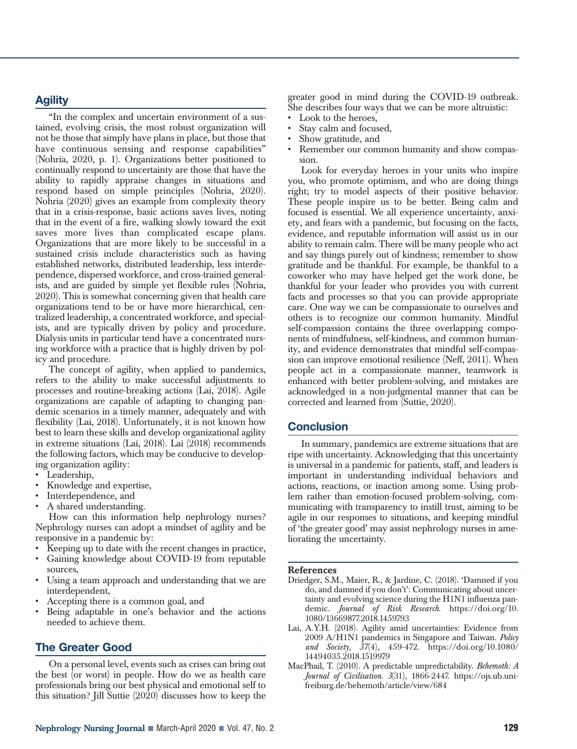# **Agility**

"In the complex and uncertain environment of a sustained, evolving crisis, the most robust organization will not be those that simply have plans in place, but those that have continuous sensing and response capabilities" (Nohria, 2020, p. 1). Organizations better positioned to continually respond to uncertainty are those that have the ability to rapidly appraise changes in situations and respond based on simple principles (Nohria, 2020). Nohria (2020) gives an example from complexity theory that in a crisis-response, basic actions saves lives, noting that in the event of a fire, walking slowly toward the exit saves more lives than complicated escape plans. Organizations that are more likely to be successful in a sustained crisis include characteristics such as having established networks, distributed leadership, less interdependence, dispersed workforce, and cross-trained generalists, and are guided by simple yet flexible rules (Nohria, 2020). This is somewhat concerning given that health care organizations tend to be or have more hierarchical, centralized leadership, a concentrated workforce, and specialists, and are typically driven by policy and procedure. Dialysis units in particular tend have a concentrated nursing workforce with a practice that is highly driven by policy and procedure.

The concept of agility, when applied to pandemics, refers to the ability to make successful adjustments to processes and routine-breaking actions (Lai, 2018). Agile organizations are capable of adapting to changing pandemic scenarios in a timely manner, adequately and with flexibility (Lai, 2018). Unfortunately, it is not known how best to learn these skills and develop organizational agility in extreme situations (Lai, 2018). Lai (2018) recommends the following factors, which may be conducive to developing organization agility:

- Leadership,
- Knowledge and expertise,
- Interdependence, and
- A shared understanding.

How can this information help nephrology nurses? Nephrology nurses can adopt a mindset of agility and be responsive in a pandemic by:

- Keeping up to date with the recent changes in practice,
- Gaining knowledge about COVID-19 from reputable sources,
- Using a team approach and understanding that we are interdependent,
- Accepting there is a common goal, and
- Being adaptable in one's behavior and the actions needed to achieve them.

# **The Greater Good**

On a personal level, events such as crises can bring out the best (or worst) in people. How do we as health care professionals bring our best physical and emotional self to this situation? Jill Suttie (2020) discusses how to keep the

- Look to the heroes,
- Stay calm and focused,
- Show gratitude, and
- Remember our common humanity and show compassion.

Look for everyday heroes in your units who inspire you, who promote optimism, and who are doing things right; try to model aspects of their positive behavior. These people inspire us to be better. Being calm and focused is essential. We all experience uncertainty, anxiety, and fears with a pandemic, but focusing on the facts, evidence, and reputable information will assist us in our ability to remain calm. There will be many people who act and say things purely out of kindness; remember to show gratitude and be thankful. For example, be thankful to a coworker who may have helped get the work done, be thankful for your leader who provides you with current facts and processes so that you can provide appropriate care. One way we can be compassionate to ourselves and others is to recognize our common humanity. Mindful self-compassion contains the three overlapping components of mindfulness, self-kindness, and common humanity, and evidence demonstrates that mindful self-compassion can improve emotional resilience (Neff, 2011). When people act in a compassionate manner, teamwork is enhanced with better problem-solving, and mistakes are acknowledged in a non-judgmental manner that can be corrected and learned from (Suttie, 2020).

# **Conclusion**

In summary, pandemics are extreme situations that are ripe with uncertainty. Acknowledging that this uncertainty is universal in a pandemic for patients, staff, and leaders is important in understanding individual behaviors and actions, reactions, or inaction among some. Using problem rather than emotion-focused problem-solving, communicating with transparency to instill trust, aiming to be agile in our responses to situations, and keeping mindful of 'the greater good' may assist nephrology nurses in ameliorating the uncertainty.

### **References**

- Driedger, S.M., Maier, R., & Jardine, C. (2018). 'Damned if you do, and damned if you don't': Communicating about uncertainty and evolving science during the H1N1 influenza pandemic. *Journal of Risk Research*. https://doi.org/10. 1080/13669877.2018.1459793
- Lai, A.Y.H. (2018). Agility amid uncertainties: Evidence from 2009 A/H1N1 pandemics in Singapore and Taiwan. *Policy and Society, 37*(4), 459-472. https://doi.org/10.1080/ 14494035.2018.1519979
- MacPhail, T. (2010). A predictable unpredictability. *Behemoth: A Journal of Civilisation. 3*(31), 1866-2447. https://ojs.ub.unifreiburg.de/behemoth/article/view/684